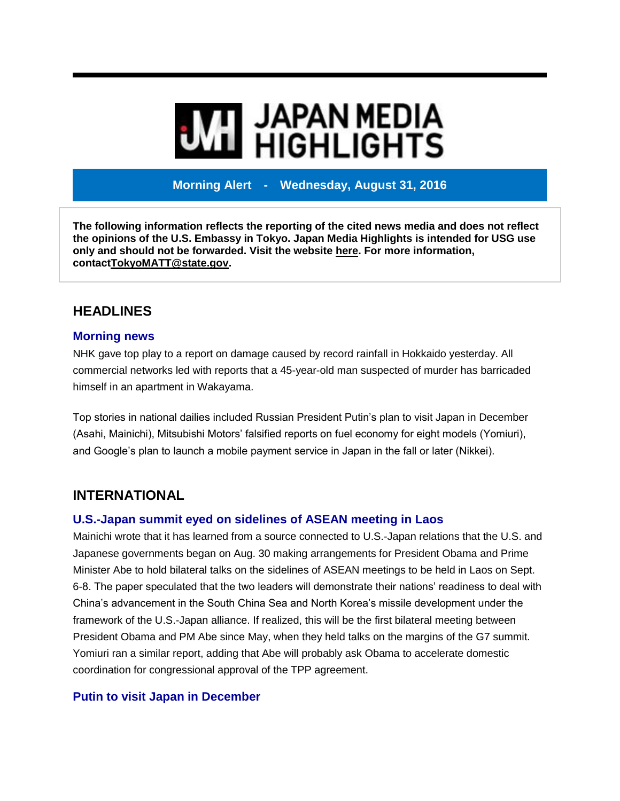# **MI** JAPAN MEDIA<br>MI HIGHLIGHTS

**Morning Alert - Wednesday, August 31, 2016**

**The following information reflects the reporting of the cited news media and does not reflect the opinions of the U.S. Embassy in Tokyo. Japan Media Highlights is intended for USG use only and should not be forwarded. Visit the website [here.](https://jmh.usembassy.gov/) For more information, contac[tTokyoMATT@state.gov.](mailto:TokyoMATT@state.gov)**

# **HEADLINES**

#### **Morning news**

NHK gave top play to a report on damage caused by record rainfall in Hokkaido yesterday. All commercial networks led with reports that a 45-year-old man suspected of murder has barricaded himself in an apartment in Wakayama.

Top stories in national dailies included Russian President Putin's plan to visit Japan in December (Asahi, Mainichi), Mitsubishi Motors' falsified reports on fuel economy for eight models (Yomiuri), and Google's plan to launch a mobile payment service in Japan in the fall or later (Nikkei).

# **INTERNATIONAL**

## **U.S.-Japan summit eyed on sidelines of ASEAN meeting in Laos**

Mainichi wrote that it has learned from a source connected to U.S.-Japan relations that the U.S. and Japanese governments began on Aug. 30 making arrangements for President Obama and Prime Minister Abe to hold bilateral talks on the sidelines of ASEAN meetings to be held in Laos on Sept. 6-8. The paper speculated that the two leaders will demonstrate their nations' readiness to deal with China's advancement in the South China Sea and North Korea's missile development under the framework of the U.S.-Japan alliance. If realized, this will be the first bilateral meeting between President Obama and PM Abe since May, when they held talks on the margins of the G7 summit. Yomiuri ran a similar report, adding that Abe will probably ask Obama to accelerate domestic coordination for congressional approval of the TPP agreement.

# **Putin to visit Japan in December**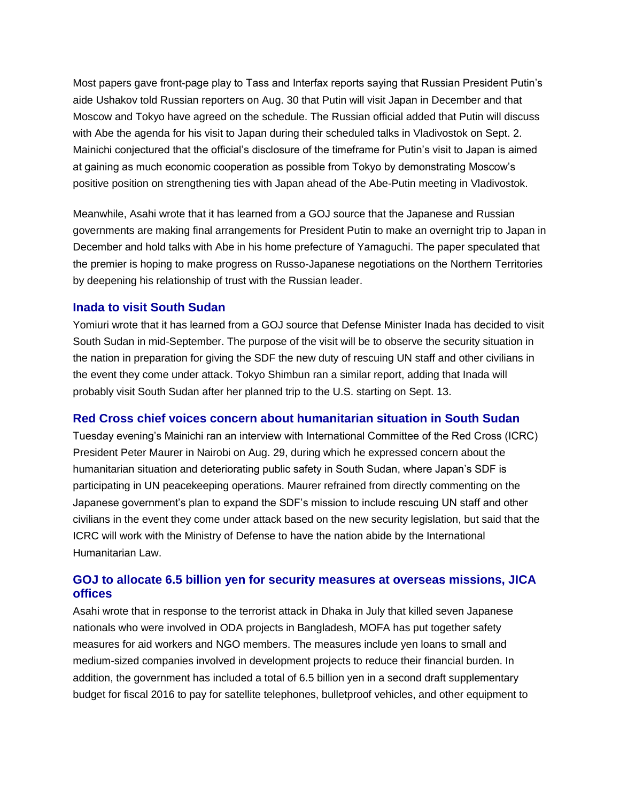Most papers gave front-page play to Tass and Interfax reports saying that Russian President Putin's aide Ushakov told Russian reporters on Aug. 30 that Putin will visit Japan in December and that Moscow and Tokyo have agreed on the schedule. The Russian official added that Putin will discuss with Abe the agenda for his visit to Japan during their scheduled talks in Vladivostok on Sept. 2. Mainichi conjectured that the official's disclosure of the timeframe for Putin's visit to Japan is aimed at gaining as much economic cooperation as possible from Tokyo by demonstrating Moscow's positive position on strengthening ties with Japan ahead of the Abe-Putin meeting in Vladivostok.

Meanwhile, Asahi wrote that it has learned from a GOJ source that the Japanese and Russian governments are making final arrangements for President Putin to make an overnight trip to Japan in December and hold talks with Abe in his home prefecture of Yamaguchi. The paper speculated that the premier is hoping to make progress on Russo-Japanese negotiations on the Northern Territories by deepening his relationship of trust with the Russian leader.

#### **Inada to visit South Sudan**

Yomiuri wrote that it has learned from a GOJ source that Defense Minister Inada has decided to visit South Sudan in mid-September. The purpose of the visit will be to observe the security situation in the nation in preparation for giving the SDF the new duty of rescuing UN staff and other civilians in the event they come under attack. Tokyo Shimbun ran a similar report, adding that Inada will probably visit South Sudan after her planned trip to the U.S. starting on Sept. 13.

#### **Red Cross chief voices concern about humanitarian situation in South Sudan**

Tuesday evening's Mainichi ran an interview with International Committee of the Red Cross (ICRC) President Peter Maurer in Nairobi on Aug. 29, during which he expressed concern about the humanitarian situation and deteriorating public safety in South Sudan, where Japan's SDF is participating in UN peacekeeping operations. Maurer refrained from directly commenting on the Japanese government's plan to expand the SDF's mission to include rescuing UN staff and other civilians in the event they come under attack based on the new security legislation, but said that the ICRC will work with the Ministry of Defense to have the nation abide by the International Humanitarian Law.

#### **GOJ to allocate 6.5 billion yen for security measures at overseas missions, JICA offices**

Asahi wrote that in response to the terrorist attack in Dhaka in July that killed seven Japanese nationals who were involved in ODA projects in Bangladesh, MOFA has put together safety measures for aid workers and NGO members. The measures include yen loans to small and medium-sized companies involved in development projects to reduce their financial burden. In addition, the government has included a total of 6.5 billion yen in a second draft supplementary budget for fiscal 2016 to pay for satellite telephones, bulletproof vehicles, and other equipment to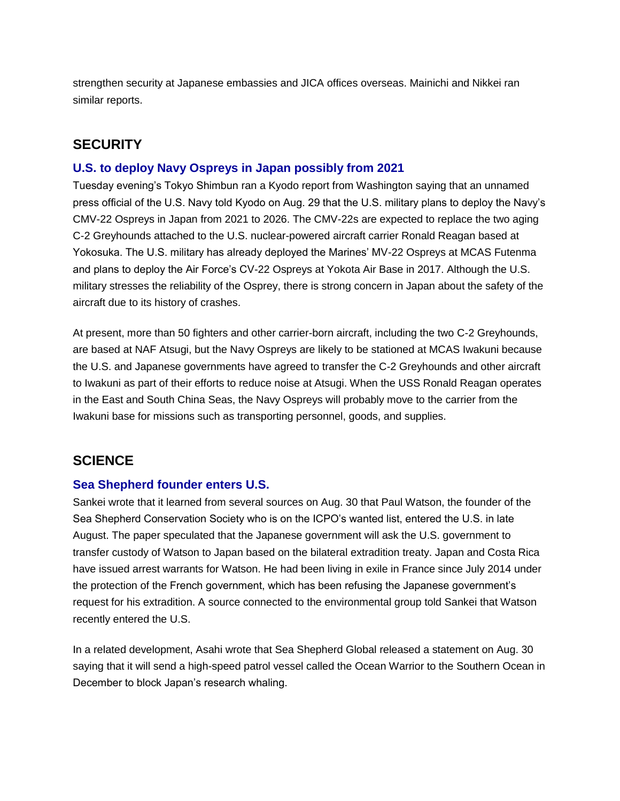strengthen security at Japanese embassies and JICA offices overseas. Mainichi and Nikkei ran similar reports.

## **SECURITY**

#### **U.S. to deploy Navy Ospreys in Japan possibly from 2021**

Tuesday evening's Tokyo Shimbun ran a Kyodo report from Washington saying that an unnamed press official of the U.S. Navy told Kyodo on Aug. 29 that the U.S. military plans to deploy the Navy's CMV-22 Ospreys in Japan from 2021 to 2026. The CMV-22s are expected to replace the two aging C-2 Greyhounds attached to the U.S. nuclear-powered aircraft carrier Ronald Reagan based at Yokosuka. The U.S. military has already deployed the Marines' MV-22 Ospreys at MCAS Futenma and plans to deploy the Air Force's CV-22 Ospreys at Yokota Air Base in 2017. Although the U.S. military stresses the reliability of the Osprey, there is strong concern in Japan about the safety of the aircraft due to its history of crashes.

At present, more than 50 fighters and other carrier-born aircraft, including the two C-2 Greyhounds, are based at NAF Atsugi, but the Navy Ospreys are likely to be stationed at MCAS Iwakuni because the U.S. and Japanese governments have agreed to transfer the C-2 Greyhounds and other aircraft to Iwakuni as part of their efforts to reduce noise at Atsugi. When the USS Ronald Reagan operates in the East and South China Seas, the Navy Ospreys will probably move to the carrier from the Iwakuni base for missions such as transporting personnel, goods, and supplies.

## **SCIENCE**

#### **Sea Shepherd founder enters U.S.**

Sankei wrote that it learned from several sources on Aug. 30 that Paul Watson, the founder of the Sea Shepherd Conservation Society who is on the ICPO's wanted list, entered the U.S. in late August. The paper speculated that the Japanese government will ask the U.S. government to transfer custody of Watson to Japan based on the bilateral extradition treaty. Japan and Costa Rica have issued arrest warrants for Watson. He had been living in exile in France since July 2014 under the protection of the French government, which has been refusing the Japanese government's request for his extradition. A source connected to the environmental group told Sankei that Watson recently entered the U.S.

In a related development, Asahi wrote that Sea Shepherd Global released a statement on Aug. 30 saying that it will send a high-speed patrol vessel called the Ocean Warrior to the Southern Ocean in December to block Japan's research whaling.